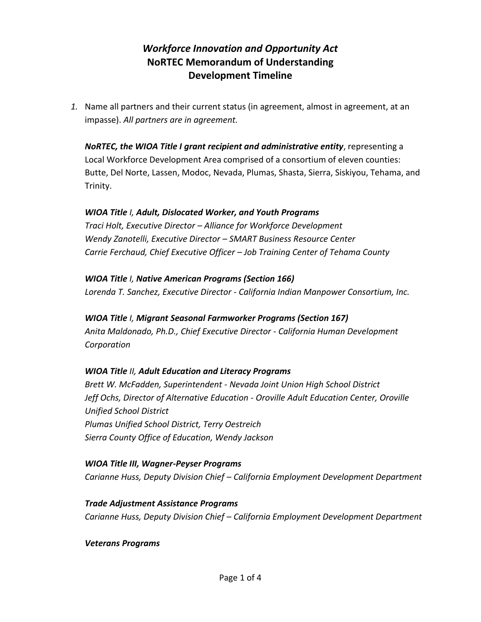# *Workforce Innovation and Opportunity Act*  **NoRTEC Memorandum of Understanding Development Timeline**

*1.* Name all partners and their current status (in agreement, almost in agreement, at an impasse). *All partners are in agreement.*

*NoRTEC, the WIOA Title I grant recipient and administrative entity*, representing a Local Workforce Development Area comprised of a consortium of eleven counties: Butte, Del Norte, Lassen, Modoc, Nevada, Plumas, Shasta, Sierra, Siskiyou, Tehama, and Trinity.

### *WIOA Title I, Adult, Dislocated Worker, and Youth Programs*

*Traci Holt, Executive Director – Alliance for Workforce Development Wendy Zanotelli, Executive Director – SMART Business Resource Center Carrie Ferchaud, Chief Executive Officer – Job Training Center of Tehama County*

# *WIOA Title I, Native American Programs (Section 166)*

*Lorenda T. Sanchez, Executive Director* - *California Indian Manpower Consortium, Inc.*

*WIOA Title I, Migrant Seasonal Farmworker Programs (Section 167) Anita Maldonado, Ph.D., Chief Executive Director* - *California Human Development Corporation* 

### *WIOA Title II, Adult Education and Literacy Programs*

*Brett W. McFadden, Superintendent* - *Nevada Joint Union High School District Jeff Ochs, Director of Alternative Education* - *Oroville Adult Education Center, Oroville Unified School District Plumas Unified School District, Terry Oestreich Sierra County Office of Education, Wendy Jackson*

*WIOA Title III, Wagner-Peyser Programs Carianne Huss, Deputy Division Chief – California Employment Development Department*

*Trade Adjustment Assistance Programs Carianne Huss, Deputy Division Chief – California Employment Development Department*

*Veterans Programs*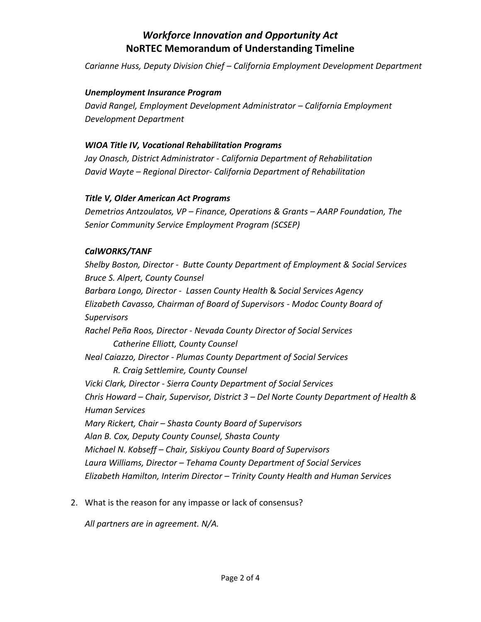### *Workforce Innovation and Opportunity Act*  **NoRTEC Memorandum of Understanding Timeline**

*Carianne Huss, Deputy Division Chief – California Employment Development Department*

#### *Unemployment Insurance Program*

*David Rangel, Employment Development Administrator – California Employment Development Department*

#### *WIOA Title IV, Vocational Rehabilitation Programs*

*Jay Onasch, District Administrator* - *California Department of Rehabilitation David Wayte – Regional Director- California Department of Rehabilitation*

#### *Title V, Older American Act Programs*

*Demetrios Antzoulatos, VP – Finance, Operations & Grants – AARP Foundation, The Senior Community Service Employment Program (SCSEP)*

#### *CalWORKS/TANF*

*Shelby Boston, Director* - *Butte County Department of Employment & Social Services Bruce S. Alpert, County Counsel Barbara Longo, Director* - *Lassen County Health* & *Social Services Agency Elizabeth Cavasso, Chairman of Board of Supervisors* - *Modoc County Board of Supervisors Rachel Peña Roos, Director* - *Nevada County Director of Social Services Catherine Elliott, County Counsel Neal Caiazzo, Director* - *Plumas County Department of Social Services R. Craig Settlemire, County Counsel Vicki Clark, Director* - *Sierra County Department of Social Services Chris Howard – Chair, Supervisor, District 3 – Del Norte County Department of Health & Human Services Mary Rickert, Chair – Shasta County Board of Supervisors Alan B. Cox, Deputy County Counsel, Shasta County Michael N. Kobseff – Chair, Siskiyou County Board of Supervisors Laura Williams, Director – Tehama County Department of Social Services Elizabeth Hamilton, Interim Director – Trinity County Health and Human Services*

2. What is the reason for any impasse or lack of consensus?

*All partners are in agreement. N/A.*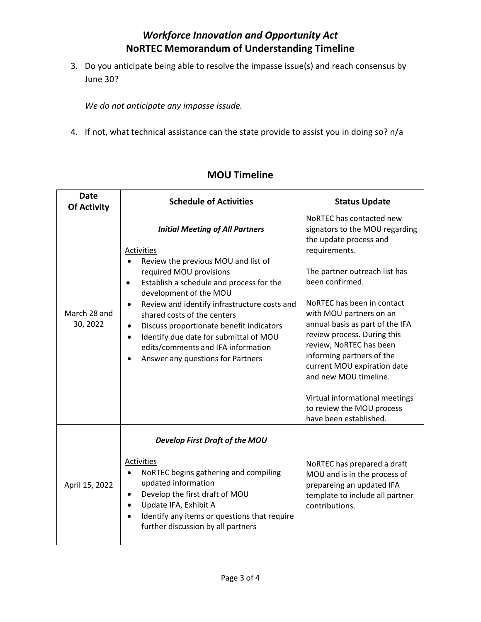### *Workforce Innovation and Opportunity Act*  **NoRTEC Memorandum of Understanding Timeline**

3. Do you anticipate being able to resolve the impasse issue(s) and reach consensus by June 30?

*We do not anticipate any impasse issude.* 

4. If not, what technical assistance can the state provide to assist you in doing so? n/a

| <b>Date</b><br><b>Of Activity</b> | <b>Schedule of Activities</b>                                                                                                                                                                                                                                                                                                                                                                                                                                                       | <b>Status Update</b>                                                                                                                                                                                                                                                                                                                                                                                                                                                                          |
|-----------------------------------|-------------------------------------------------------------------------------------------------------------------------------------------------------------------------------------------------------------------------------------------------------------------------------------------------------------------------------------------------------------------------------------------------------------------------------------------------------------------------------------|-----------------------------------------------------------------------------------------------------------------------------------------------------------------------------------------------------------------------------------------------------------------------------------------------------------------------------------------------------------------------------------------------------------------------------------------------------------------------------------------------|
| March 28 and<br>30, 2022          | <b>Initial Meeting of All Partners</b><br>Activities<br>Review the previous MOU and list of<br>required MOU provisions<br>Establish a schedule and process for the<br>$\bullet$<br>development of the MOU<br>Review and identify infrastructure costs and<br>shared costs of the centers<br>Discuss proportionate benefit indicators<br>$\bullet$<br>Identify due date for submittal of MOU<br>$\bullet$<br>edits/comments and IFA information<br>Answer any questions for Partners | NoRTEC has contacted new<br>signators to the MOU regarding<br>the update process and<br>requirements.<br>The partner outreach list has<br>been confirmed.<br>NoRTEC has been in contact<br>with MOU partners on an<br>annual basis as part of the IFA<br>review process. During this<br>review, NoRTEC has been<br>informing partners of the<br>current MOU expiration date<br>and new MOU timeline.<br>Virtual informational meetings<br>to review the MOU process<br>have been established. |
| April 15, 2022                    | Develop First Draft of the MOU<br>Activities<br>NoRTEC begins gathering and compiling<br>$\bullet$<br>updated information<br>Develop the first draft of MOU<br>$\bullet$<br>Update IFA, Exhibit A<br>$\bullet$<br>Identify any items or questions that require<br>further discussion by all partners                                                                                                                                                                                | NoRTEC has prepared a draft<br>MOU and is in the process of<br>prepareing an updated IFA<br>template to include all partner<br>contributions.                                                                                                                                                                                                                                                                                                                                                 |

# **MOU Timeline**